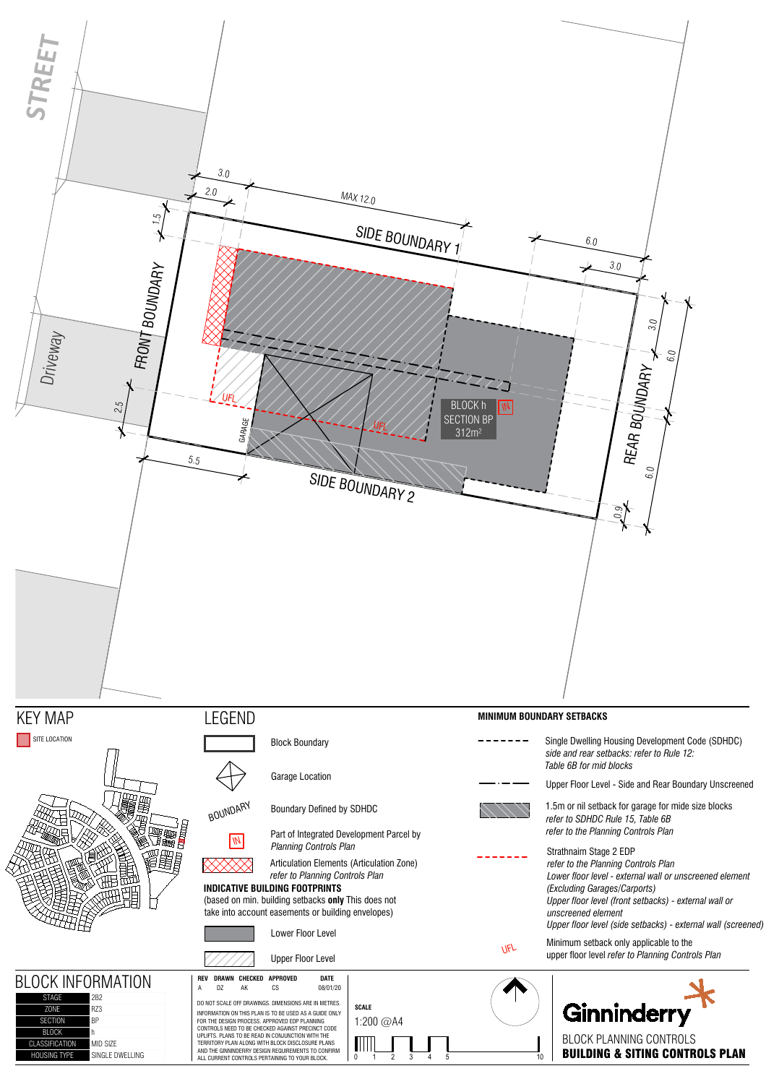